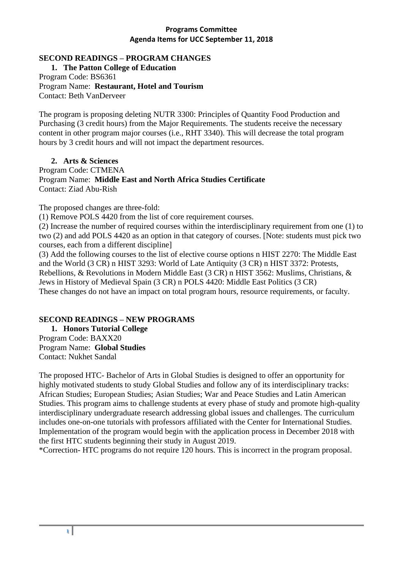# **SECOND READINGS – PROGRAM CHANGES**

**1. The Patton College of Education** Program Code: BS6361 Program Name: **Restaurant, Hotel and Tourism** Contact: Beth VanDerveer

The program is proposing deleting NUTR 3300: Principles of Quantity Food Production and Purchasing (3 credit hours) from the Major Requirements. The students receive the necessary content in other program major courses (i.e., RHT 3340). This will decrease the total program hours by 3 credit hours and will not impact the department resources.

**2. Arts & Sciences** 

Program Code: CTMENA Program Name: **Middle East and North Africa Studies Certificate**  Contact: Ziad Abu-Rish

The proposed changes are three-fold:

(1) Remove POLS 4420 from the list of core requirement courses.

(2) Increase the number of required courses within the interdisciplinary requirement from one (1) to two (2) and add POLS 4420 as an option in that category of courses. [Note: students must pick two courses, each from a different discipline]

(3) Add the following courses to the list of elective course options n HIST 2270: The Middle East and the World (3 CR) n HIST 3293: World of Late Antiquity (3 CR) n HIST 3372: Protests, Rebellions, & Revolutions in Modern Middle East (3 CR) n HIST 3562: Muslims, Christians, & Jews in History of Medieval Spain (3 CR) n POLS 4420: Middle East Politics (3 CR) These changes do not have an impact on total program hours, resource requirements, or faculty.

# **SECOND READINGS – NEW PROGRAMS**

**1. Honors Tutorial College** Program Code: BAXX20 Program Name: **Global Studies** Contact: Nukhet Sandal

The proposed HTC- Bachelor of Arts in Global Studies is designed to offer an opportunity for highly motivated students to study Global Studies and follow any of its interdisciplinary tracks: African Studies; European Studies; Asian Studies; War and Peace Studies and Latin American Studies. This program aims to challenge students at every phase of study and promote high-quality interdisciplinary undergraduate research addressing global issues and challenges. The curriculum includes one-on-one tutorials with professors affiliated with the Center for International Studies. Implementation of the program would begin with the application process in December 2018 with the first HTC students beginning their study in August 2019.

\*Correction- HTC programs do not require 120 hours. This is incorrect in the program proposal.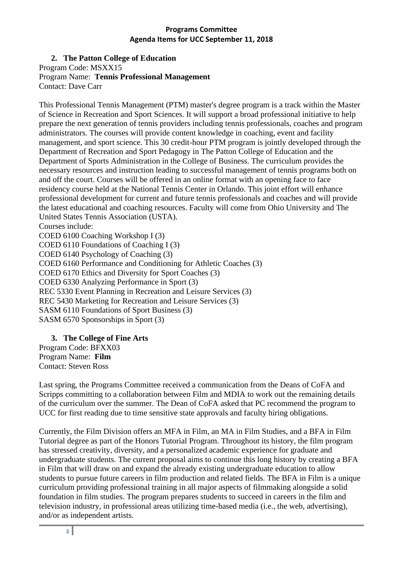# **2. The Patton College of Education**

Program Code: MSXX15 Program Name: **Tennis Professional Management**

Contact: Dave Carr

This Professional Tennis Management (PTM) master's degree program is a track within the Master of Science in Recreation and Sport Sciences. It will support a broad professional initiative to help prepare the next generation of tennis providers including tennis professionals, coaches and program administrators. The courses will provide content knowledge in coaching, event and facility management, and sport science. This 30 credit-hour PTM program is jointly developed through the Department of Recreation and Sport Pedagogy in The Patton College of Education and the Department of Sports Administration in the College of Business. The curriculum provides the necessary resources and instruction leading to successful management of tennis programs both on and off the court. Courses will be offered in an online format with an opening face to face residency course held at the National Tennis Center in Orlando. This joint effort will enhance professional development for current and future tennis professionals and coaches and will provide the latest educational and coaching resources. Faculty will come from Ohio University and The United States Tennis Association (USTA). Courses include: COED 6100 Coaching Workshop I (3) COED 6110 Foundations of Coaching I (3) COED 6140 Psychology of Coaching (3) COED 6160 Performance and Conditioning for Athletic Coaches (3) COED 6170 Ethics and Diversity for Sport Coaches (3) COED 6330 Analyzing Performance in Sport (3)

REC 5330 Event Planning in Recreation and Leisure Services (3)

REC 5430 Marketing for Recreation and Leisure Services (3)

SASM 6110 Foundations of Sport Business (3)

SASM 6570 Sponsorships in Sport (3)

# **3. The College of Fine Arts**

Program Code: BFXX03 Program Name: **Film** Contact: Steven Ross

Last spring, the Programs Committee received a communication from the Deans of CoFA and Scripps committing to a collaboration between Film and MDIA to work out the remaining details of the curriculum over the summer. The Dean of CoFA asked that PC recommend the program to UCC for first reading due to time sensitive state approvals and faculty hiring obligations.

Currently, the Film Division offers an MFA in Film, an MA in Film Studies, and a BFA in Film Tutorial degree as part of the Honors Tutorial Program. Throughout its history, the film program has stressed creativity, diversity, and a personalized academic experience for graduate and undergraduate students. The current proposal aims to continue this long history by creating a BFA in Film that will draw on and expand the already existing undergraduate education to allow students to pursue future careers in film production and related fields. The BFA in Film is a unique curriculum providing professional training in all major aspects of filmmaking alongside a solid foundation in film studies. The program prepares students to succeed in careers in the film and television industry, in professional areas utilizing time-based media (i.e., the web, advertising), and/or as independent artists.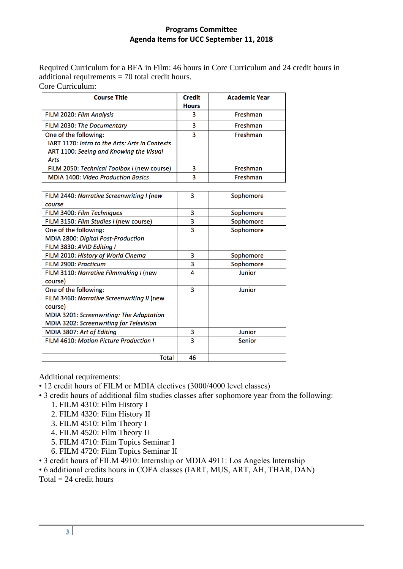Required Curriculum for a BFA in Film: 46 hours in Core Curriculum and 24 credit hours in additional requirements = 70 total credit hours. Core Curriculum:

| <b>Course Title</b>                            | <b>Credit</b><br><b>Hours</b> | <b>Academic Year</b> |
|------------------------------------------------|-------------------------------|----------------------|
| FILM 2020: Film Analysis                       | 3                             | Freshman             |
|                                                |                               |                      |
| FILM 2030: The Documentary                     | 3                             | Freshman             |
| One of the following:                          | 3                             | Freshman             |
| IART 1170: Intro to the Arts: Arts in Contexts |                               |                      |
| ART 1100: Seeing and Knowing the Visual        |                               |                      |
| <b>Arts</b>                                    |                               |                      |
| FILM 2050: Technical Toolbox I (new course)    | 3                             | Freshman             |
| <b>MDIA 1400: Video Production Basics</b>      | 3                             | Freshman             |
|                                                |                               |                      |
| FILM 2440: Narrative Screenwriting I (new      | 3                             | Sophomore            |
| course                                         |                               |                      |
| FILM 3400: Film Techniques                     | 3                             | Sophomore            |
| FILM 3150: Film Studies I (new course)         | 3                             | Sophomore            |
| One of the following:                          | 3                             | Sophomore            |
| MDIA 2800: Digital Post-Production             |                               |                      |
| FILM 3830: AVID Editing I                      |                               |                      |
| FILM 2010: History of World Cinema             | 3                             | Sophomore            |
| FILM 2900: Practicum                           | 3                             | Sophomore            |
| FILM 3110: Narrative Filmmaking I (new         | 4                             | Junior               |
| course)                                        |                               |                      |
| One of the following:                          | 3                             | Junior               |
| FILM 3460: Narrative Screenwriting II (new     |                               |                      |
| course)                                        |                               |                      |
| MDIA 3201: Screenwriting: The Adaptation       |                               |                      |
| MDIA 3202: Screenwriting for Television        |                               |                      |
| MDIA 3807: Art of Editing                      | 3                             | Junior               |
| FILM 4610: Motion Picture Production I         | 3                             | Senior               |
|                                                |                               |                      |
| <b>Total</b>                                   | 46                            |                      |

Additional requirements:

- 12 credit hours of FILM or MDIA electives (3000/4000 level classes)
- 3 credit hours of additional film studies classes after sophomore year from the following:
	- 1. FILM 4310: Film History I
	- 2. FILM 4320: Film History II
	- 3. FILM 4510: Film Theory I
	- 4. FILM 4520: Film Theory II
	- 5. FILM 4710: Film Topics Seminar I
	- 6. FILM 4720: Film Topics Seminar II
- 3 credit hours of FILM 4910: Internship or MDIA 4911: Los Angeles Internship
- 6 additional credits hours in COFA classes (IART, MUS, ART, AH, THAR, DAN)
- Total  $= 24$  credit hours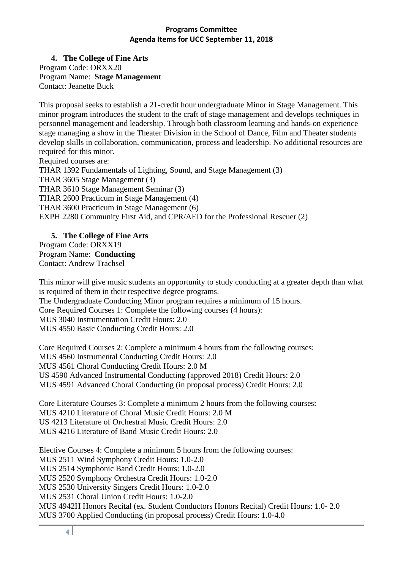**4. The College of Fine Arts** Program Code: ORXX20 Program Name: **Stage Management** Contact: Jeanette Buck

This proposal seeks to establish a 21-credit hour undergraduate Minor in Stage Management. This minor program introduces the student to the craft of stage management and develops techniques in personnel management and leadership. Through both classroom learning and hands-on experience stage managing a show in the Theater Division in the School of Dance, Film and Theater students develop skills in collaboration, communication, process and leadership. No additional resources are required for this minor.

Required courses are: THAR 1392 Fundamentals of Lighting, Sound, and Stage Management (3) THAR 3605 Stage Management (3) THAR 3610 Stage Management Seminar (3) THAR 2600 Practicum in Stage Management (4) THAR 3600 Practicum in Stage Management (6) EXPH 2280 Community First Aid, and CPR/AED for the Professional Rescuer (2)

**5. The College of Fine Arts** Program Code: ORXX19 Program Name: **Conducting**  Contact: Andrew Trachsel

This minor will give music students an opportunity to study conducting at a greater depth than what is required of them in their respective degree programs. The Undergraduate Conducting Minor program requires a minimum of 15 hours. Core Required Courses 1: Complete the following courses (4 hours):

MUS 3040 Instrumentation Credit Hours: 2.0

MUS 4550 Basic Conducting Credit Hours: 2.0

Core Required Courses 2: Complete a minimum 4 hours from the following courses: MUS 4560 Instrumental Conducting Credit Hours: 2.0 MUS 4561 Choral Conducting Credit Hours: 2.0 M US 4590 Advanced Instrumental Conducting (approved 2018) Credit Hours: 2.0 MUS 4591 Advanced Choral Conducting (in proposal process) Credit Hours: 2.0

Core Literature Courses 3: Complete a minimum 2 hours from the following courses: MUS 4210 Literature of Choral Music Credit Hours: 2.0 M US 4213 Literature of Orchestral Music Credit Hours: 2.0 MUS 4216 Literature of Band Music Credit Hours: 2.0

Elective Courses 4: Complete a minimum 5 hours from the following courses: MUS 2511 Wind Symphony Credit Hours: 1.0-2.0 MUS 2514 Symphonic Band Credit Hours: 1.0-2.0 MUS 2520 Symphony Orchestra Credit Hours: 1.0-2.0 MUS 2530 University Singers Credit Hours: 1.0-2.0 MUS 2531 Choral Union Credit Hours: 1.0-2.0 MUS 4942H Honors Recital (ex. Student Conductors Honors Recital) Credit Hours: 1.0- 2.0 MUS 3700 Applied Conducting (in proposal process) Credit Hours: 1.0-4.0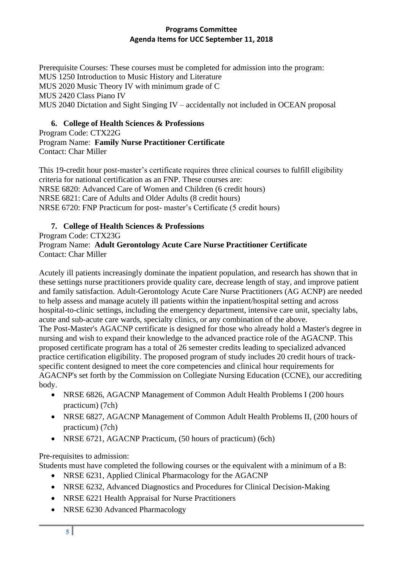Prerequisite Courses: These courses must be completed for admission into the program: MUS 1250 Introduction to Music History and Literature MUS 2020 Music Theory IV with minimum grade of C MUS 2420 Class Piano IV MUS 2040 Dictation and Sight Singing IV – accidentally not included in OCEAN proposal

# **6. College of Health Sciences & Professions**

Program Code: CTX22G Program Name: **Family Nurse Practitioner Certificate** Contact: Char Miller

This 19-credit hour post-master's certificate requires three clinical courses to fulfill eligibility criteria for national certification as an FNP. These courses are: NRSE 6820: Advanced Care of Women and Children (6 credit hours) NRSE 6821: Care of Adults and Older Adults (8 credit hours) NRSE 6720: FNP Practicum for post- master's Certificate (5 credit hours)

# **7. College of Health Sciences & Professions**

Program Code: CTX23G

### Program Name: **Adult Gerontology Acute Care Nurse Practitioner Certificate** Contact: Char Miller

Acutely ill patients increasingly dominate the inpatient population, and research has shown that in these settings nurse practitioners provide quality care, decrease length of stay, and improve patient and family satisfaction. Adult-Gerontology Acute Care Nurse Practitioners (AG ACNP) are needed to help assess and manage acutely ill patients within the inpatient/hospital setting and across hospital-to-clinic settings, including the emergency department, intensive care unit, specialty labs, acute and sub-acute care wards, specialty clinics, or any combination of the above. The Post-Master's AGACNP certificate is designed for those who already hold a Master's degree in nursing and wish to expand their knowledge to the advanced practice role of the AGACNP. This proposed certificate program has a total of 26 semester credits leading to specialized advanced practice certification eligibility. The proposed program of study includes 20 credit hours of trackspecific content designed to meet the core competencies and clinical hour requirements for AGACNP's set forth by the Commission on Collegiate Nursing Education (CCNE), our accrediting body.

- NRSE 6826, AGACNP Management of Common Adult Health Problems I (200 hours) practicum) (7ch)
- NRSE 6827, AGACNP Management of Common Adult Health Problems II, (200 hours of practicum) (7ch)
- NRSE 6721, AGACNP Practicum, (50 hours of practicum) (6ch)

# Pre-requisites to admission:

Students must have completed the following courses or the equivalent with a minimum of a B:

- NRSE 6231, Applied Clinical Pharmacology for the AGACNP
- NRSE 6232, Advanced Diagnostics and Procedures for Clinical Decision-Making
- NRSE 6221 Health Appraisal for Nurse Practitioners
- NRSE 6230 Advanced Pharmacology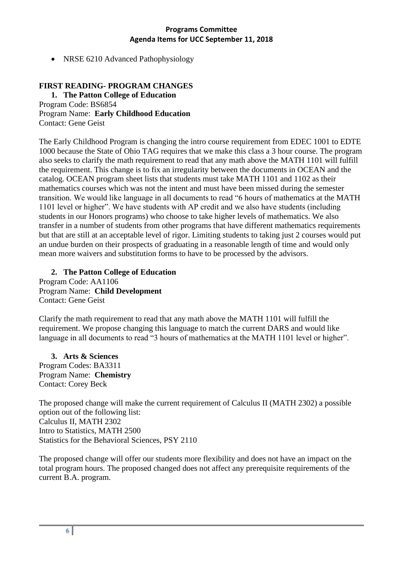• NRSE 6210 Advanced Pathophysiology

# **FIRST READING- PROGRAM CHANGES**

**1. The Patton College of Education** Program Code: BS6854 Program Name: **Early Childhood Education** Contact: Gene Geist

The Early Childhood Program is changing the intro course requirement from EDEC 1001 to EDTE 1000 because the State of Ohio TAG requires that we make this class a 3 hour course. The program also seeks to clarify the math requirement to read that any math above the MATH 1101 will fulfill the requirement. This change is to fix an irregularity between the documents in OCEAN and the catalog. OCEAN program sheet lists that students must take MATH 1101 and 1102 as their mathematics courses which was not the intent and must have been missed during the semester transition. We would like language in all documents to read "6 hours of mathematics at the MATH 1101 level or higher". We have students with AP credit and we also have students (including students in our Honors programs) who choose to take higher levels of mathematics. We also transfer in a number of students from other programs that have different mathematics requirements but that are still at an acceptable level of rigor. Limiting students to taking just 2 courses would put an undue burden on their prospects of graduating in a reasonable length of time and would only mean more waivers and substitution forms to have to be processed by the advisors.

# **2. The Patton College of Education**

Program Code: AA1106 Program Name: **Child Development** Contact: Gene Geist

Clarify the math requirement to read that any math above the MATH 1101 will fulfill the requirement. We propose changing this language to match the current DARS and would like language in all documents to read "3 hours of mathematics at the MATH 1101 level or higher".

**3. Arts & Sciences**  Program Codes: BA3311 Program Name: **Chemistry** Contact: Corey Beck

The proposed change will make the current requirement of Calculus II (MATH 2302) a possible option out of the following list: Calculus II, MATH 2302 Intro to Statistics, MATH 2500 Statistics for the Behavioral Sciences, PSY 2110

The proposed change will offer our students more flexibility and does not have an impact on the total program hours. The proposed changed does not affect any prerequisite requirements of the current B.A. program.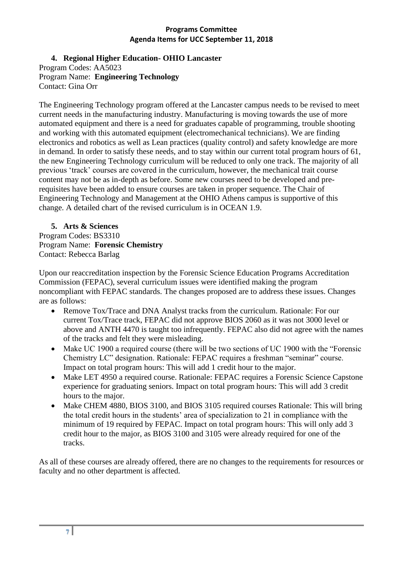# **4. Regional Higher Education- OHIO Lancaster**

Program Codes: AA5023 Program Name: **Engineering Technology** Contact: Gina Orr

The Engineering Technology program offered at the Lancaster campus needs to be revised to meet current needs in the manufacturing industry. Manufacturing is moving towards the use of more automated equipment and there is a need for graduates capable of programming, trouble shooting and working with this automated equipment (electromechanical technicians). We are finding electronics and robotics as well as Lean practices (quality control) and safety knowledge are more in demand. In order to satisfy these needs, and to stay within our current total program hours of 61, the new Engineering Technology curriculum will be reduced to only one track. The majority of all previous 'track' courses are covered in the curriculum, however, the mechanical trait course content may not be as in-depth as before. Some new courses need to be developed and prerequisites have been added to ensure courses are taken in proper sequence. The Chair of Engineering Technology and Management at the OHIO Athens campus is supportive of this change. A detailed chart of the revised curriculum is in OCEAN 1.9.

#### **5. Arts & Sciences**  Program Codes: BS3310 Program Name: **Forensic Chemistry** Contact: Rebecca Barlag

Upon our reaccreditation inspection by the Forensic Science Education Programs Accreditation Commission (FEPAC), several curriculum issues were identified making the program noncompliant with FEPAC standards. The changes proposed are to address these issues. Changes are as follows:

- Remove Tox/Trace and DNA Analyst tracks from the curriculum. Rationale: For our current Tox/Trace track, FEPAC did not approve BIOS 2060 as it was not 3000 level or above and ANTH 4470 is taught too infrequently. FEPAC also did not agree with the names of the tracks and felt they were misleading.
- Make UC 1900 a required course (there will be two sections of UC 1900 with the "Forensic" Chemistry LC" designation. Rationale: FEPAC requires a freshman "seminar" course. Impact on total program hours: This will add 1 credit hour to the major.
- Make LET 4950 a required course. Rationale: FEPAC requires a Forensic Science Capstone experience for graduating seniors. Impact on total program hours: This will add 3 credit hours to the major.
- Make CHEM 4880, BIOS 3100, and BIOS 3105 required courses Rationale: This will bring the total credit hours in the students' area of specialization to 21 in compliance with the minimum of 19 required by FEPAC. Impact on total program hours: This will only add 3 credit hour to the major, as BIOS 3100 and 3105 were already required for one of the tracks.

As all of these courses are already offered, there are no changes to the requirements for resources or faculty and no other department is affected.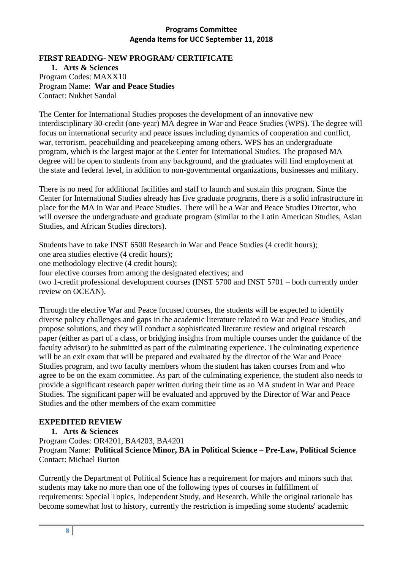#### **FIRST READING- NEW PROGRAM/ CERTIFICATE**

**1. Arts & Sciences**  Program Codes: MAXX10 Program Name: **War and Peace Studies** Contact: Nukhet Sandal

The Center for International Studies proposes the development of an innovative new interdisciplinary 30-credit (one-year) MA degree in War and Peace Studies (WPS). The degree will focus on international security and peace issues including dynamics of cooperation and conflict, war, terrorism, peacebuilding and peacekeeping among others. WPS has an undergraduate program, which is the largest major at the Center for International Studies. The proposed MA degree will be open to students from any background, and the graduates will find employment at the state and federal level, in addition to non-governmental organizations, businesses and military.

There is no need for additional facilities and staff to launch and sustain this program. Since the Center for International Studies already has five graduate programs, there is a solid infrastructure in place for the MA in War and Peace Studies. There will be a War and Peace Studies Director, who will oversee the undergraduate and graduate program (similar to the Latin American Studies, Asian Studies, and African Studies directors).

Students have to take INST 6500 Research in War and Peace Studies (4 credit hours); one area studies elective (4 credit hours); one methodology elective (4 credit hours); four elective courses from among the designated electives; and two 1-credit professional development courses (INST 5700 and INST 5701 – both currently under review on OCEAN).

Through the elective War and Peace focused courses, the students will be expected to identify diverse policy challenges and gaps in the academic literature related to War and Peace Studies, and propose solutions, and they will conduct a sophisticated literature review and original research paper (either as part of a class, or bridging insights from multiple courses under the guidance of the faculty advisor) to be submitted as part of the culminating experience. The culminating experience will be an exit exam that will be prepared and evaluated by the director of the War and Peace Studies program, and two faculty members whom the student has taken courses from and who agree to be on the exam committee. As part of the culminating experience, the student also needs to provide a significant research paper written during their time as an MA student in War and Peace Studies. The significant paper will be evaluated and approved by the Director of War and Peace Studies and the other members of the exam committee

# **EXPEDITED REVIEW**

**1. Arts & Sciences** 

Program Codes: OR4201, BA4203, BA4201 Program Name: **Political Science Minor, BA in Political Science – Pre-Law, Political Science** Contact: Michael Burton

Currently the Department of Political Science has a requirement for majors and minors such that students may take no more than one of the following types of courses in fulfillment of requirements: Special Topics, Independent Study, and Research. While the original rationale has become somewhat lost to history, currently the restriction is impeding some students' academic